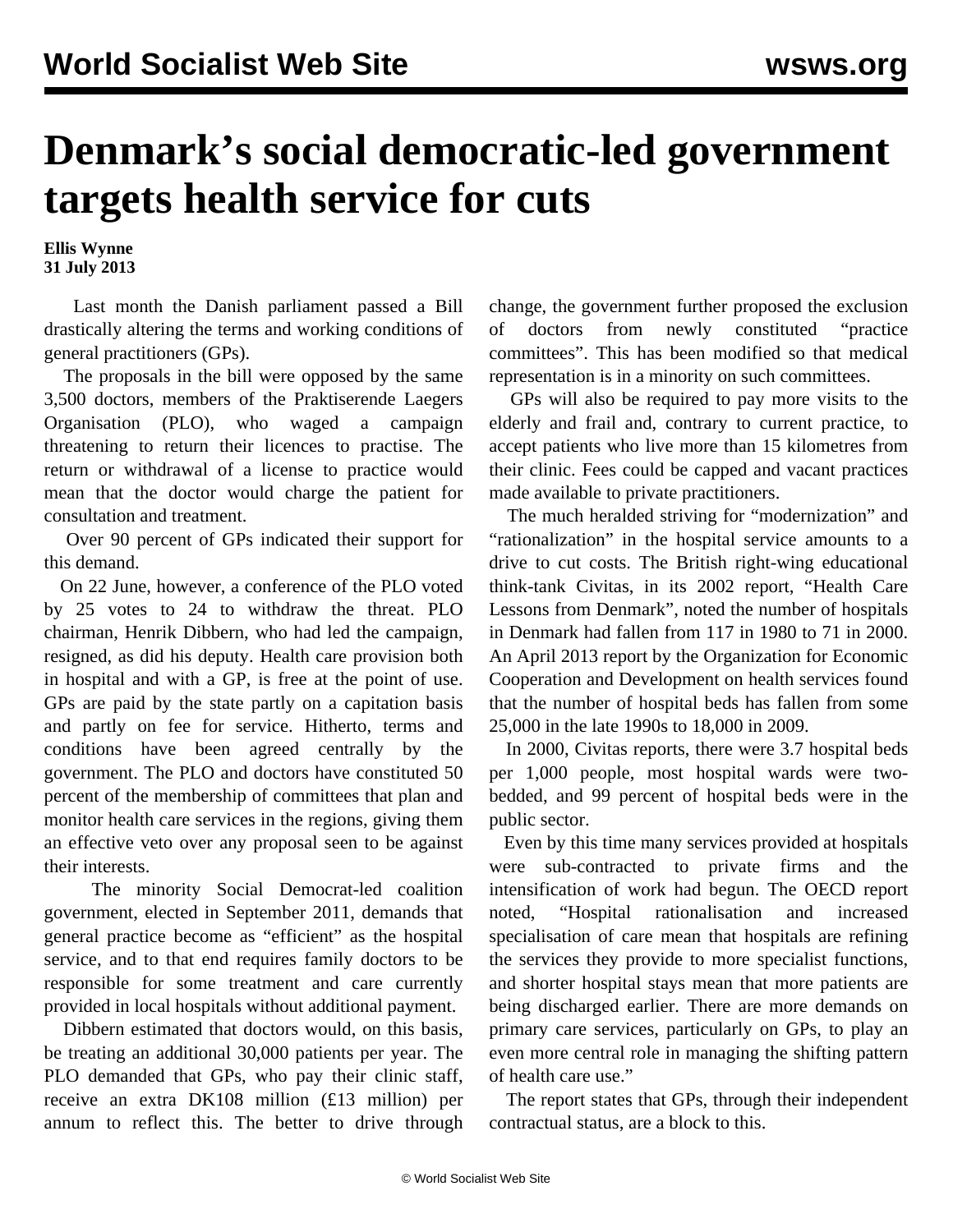## **Denmark's social democratic-led government targets health service for cuts**

**Ellis Wynne 31 July 2013**

 Last month the Danish parliament passed a Bill drastically altering the terms and working conditions of general practitioners (GPs).

 The proposals in the bill were opposed by the same 3,500 doctors, members of the Praktiserende Laegers Organisation (PLO), who waged a campaign threatening to return their licences to practise. The return or withdrawal of a license to practice would mean that the doctor would charge the patient for consultation and treatment.

 Over 90 percent of GPs indicated their support for this demand.

 On 22 June, however, a conference of the PLO voted by 25 votes to 24 to withdraw the threat. PLO chairman, Henrik Dibbern, who had led the campaign, resigned, as did his deputy. Health care provision both in hospital and with a GP, is free at the point of use. GPs are paid by the state partly on a capitation basis and partly on fee for service. Hitherto, terms and conditions have been agreed centrally by the government. The PLO and doctors have constituted 50 percent of the membership of committees that plan and monitor health care services in the regions, giving them an effective veto over any proposal seen to be against their interests.

 The minority Social Democrat-led coalition government, elected in September 2011, demands that general practice become as "efficient" as the hospital service, and to that end requires family doctors to be responsible for some treatment and care currently provided in local hospitals without additional payment.

 Dibbern estimated that doctors would, on this basis, be treating an additional 30,000 patients per year. The PLO demanded that GPs, who pay their clinic staff, receive an extra DK108 million (£13 million) per annum to reflect this. The better to drive through change, the government further proposed the exclusion of doctors from newly constituted "practice committees". This has been modified so that medical representation is in a minority on such committees.

 GPs will also be required to pay more visits to the elderly and frail and, contrary to current practice, to accept patients who live more than 15 kilometres from their clinic. Fees could be capped and vacant practices made available to private practitioners.

 The much heralded striving for "modernization" and "rationalization" in the hospital service amounts to a drive to cut costs. The British right-wing educational think-tank Civitas, in its 2002 report, "Health Care Lessons from Denmark", noted the number of hospitals in Denmark had fallen from 117 in 1980 to 71 in 2000. An April 2013 report by the Organization for Economic Cooperation and Development on health services found that the number of hospital beds has fallen from some 25,000 in the late 1990s to 18,000 in 2009.

 In 2000, Civitas reports, there were 3.7 hospital beds per 1,000 people, most hospital wards were twobedded, and 99 percent of hospital beds were in the public sector.

 Even by this time many services provided at hospitals were sub-contracted to private firms and the intensification of work had begun. The OECD report noted, "Hospital rationalisation and increased specialisation of care mean that hospitals are refining the services they provide to more specialist functions, and shorter hospital stays mean that more patients are being discharged earlier. There are more demands on primary care services, particularly on GPs, to play an even more central role in managing the shifting pattern of health care use."

 The report states that GPs, through their independent contractual status, are a block to this.